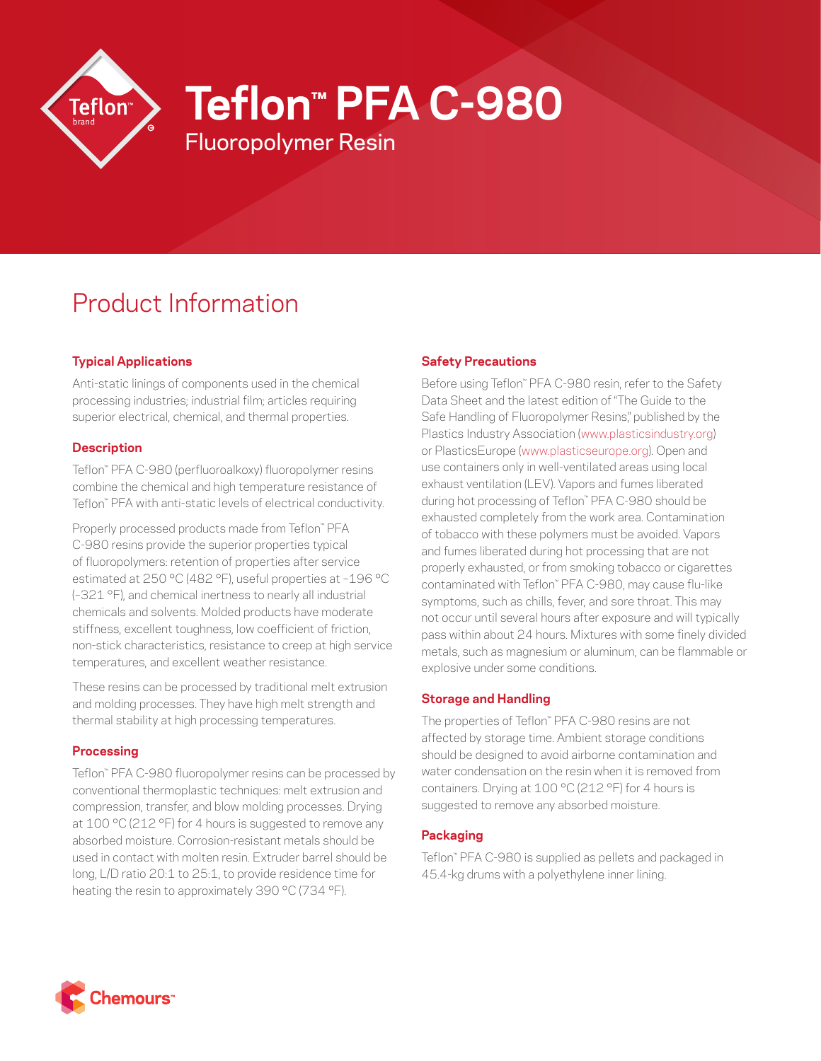

**Teflon™ PFA C-980**

Fluoropolymer Resin

# Product Information

## **Typical Applications**

Anti-static linings of components used in the chemical processing industries; industrial film; articles requiring superior electrical, chemical, and thermal properties.

### **Description**

Teflon™ PFA C-980 (perfluoroalkoxy) fluoropolymer resins combine the chemical and high temperature resistance of Teflon™ PFA with anti-static levels of electrical conductivity.

Properly processed products made from Teflon™ PFA C-980 resins provide the superior properties typical of fluoropolymers: retention of properties after service estimated at 250 °C (482 °F), useful properties at –196 °C (–321 °F), and chemical inertness to nearly all industrial chemicals and solvents. Molded products have moderate stiffness, excellent toughness, low coefficient of friction, non-stick characteristics, resistance to creep at high service temperatures, and excellent weather resistance.

These resins can be processed by traditional melt extrusion and molding processes. They have high melt strength and thermal stability at high processing temperatures.

### **Processing**

Teflon™ PFA C-980 fluoropolymer resins can be processed by conventional thermoplastic techniques: melt extrusion and compression, transfer, and blow molding processes. Drying at 100 °C (212 °F) for 4 hours is suggested to remove any absorbed moisture. Corrosion-resistant metals should be used in contact with molten resin. Extruder barrel should be long, L/D ratio 20:1 to 25:1, to provide residence time for heating the resin to approximately 390 °C (734 °F).

## **Safety Precautions**

Before using Teflon™ PFA C-980 resin, refer to the Safety Data Sheet and the latest edition of "The Guide to the Safe Handling of Fluoropolymer Resins," published by the Plastics Industry Association [\(www.plasticsindustry.org](http://www.plasticsindustry.org)) or PlasticsEurope [\(www.plasticseurope.org\)](http://www.plasticseurope.org). Open and use containers only in well-ventilated areas using local exhaust ventilation (LEV). Vapors and fumes liberated during hot processing of Teflon™ PFA C-980 should be exhausted completely from the work area. Contamination of tobacco with these polymers must be avoided. Vapors and fumes liberated during hot processing that are not properly exhausted, or from smoking tobacco or cigarettes contaminated with Teflon™ PFA C-980, may cause flu-like symptoms, such as chills, fever, and sore throat. This may not occur until several hours after exposure and will typically pass within about 24 hours. Mixtures with some finely divided metals, such as magnesium or aluminum, can be flammable or explosive under some conditions.

### **Storage and Handling**

The properties of Teflon™ PFA C-980 resins are not affected by storage time. Ambient storage conditions should be designed to avoid airborne contamination and water condensation on the resin when it is removed from containers. Drying at 100 °C (212 °F) for 4 hours is suggested to remove any absorbed moisture.

### **Packaging**

Teflon™ PFA C-980 is supplied as pellets and packaged in 45.4-kg drums with a polyethylene inner lining.